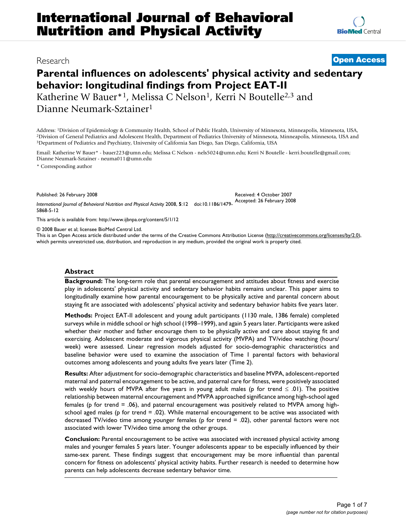## Research **[Open Access](http://www.biomedcentral.com/info/about/charter/)**

# **Parental influences on adolescents' physical activity and sedentary behavior: longitudinal findings from Project EAT-II**

Katherine W Bauer\*1, Melissa C Nelson<sup>1</sup>, Kerri N Boutelle<sup>2,3</sup> and Dianne Neumark-Sztainer1

Address: <sup>1</sup>Division of Epidemiology & Community Health, School of Public Health, University of Minnesota, Minneapolis, Minnesota, USA, <sup>2</sup>Division of General Pediatrics and Adolescent Health, Department of Pediatrics Univ

Email: Katherine W Bauer\* - bauer223@umn.edu; Melissa C Nelson - nels5024@umn.edu; Kerri N Boutelle - kerri.boutelle@gmail.com; Dianne Neumark-Sztainer - neuma011@umn.edu

\* Corresponding author

Published: 26 February 2008

*International Journal of Behavioral Nutrition and Physical Activity* 2008, **5**:12 doi:10.1186/1479- Accepted: 26 February 2008 Received: 4 October 2007

5868-5-12 [This article is available from: http://www.ijbnpa.org/content/5/1/12](http://www.ijbnpa.org/content/5/1/12)

© 2008 Bauer et al; licensee BioMed Central Ltd.

This is an Open Access article distributed under the terms of the Creative Commons Attribution License [\(http://creativecommons.org/licenses/by/2.0\)](http://creativecommons.org/licenses/by/2.0), which permits unrestricted use, distribution, and reproduction in any medium, provided the original work is properly cited.

## **Abstract**

**Background:** The long-term role that parental encouragement and attitudes about fitness and exercise play in adolescents' physical activity and sedentary behavior habits remains unclear. This paper aims to longitudinally examine how parental encouragement to be physically active and parental concern about staying fit are associated with adolescents' physical activity and sedentary behavior habits five years later.

**Methods:** Project EAT-II adolescent and young adult participants (1130 male, 1386 female) completed surveys while in middle school or high school (1998–1999), and again 5 years later. Participants were asked whether their mother and father encourage them to be physically active and care about staying fit and exercising. Adolescent moderate and vigorous physical activity (MVPA) and TV/video watching (hours/ week) were assessed. Linear regression models adjusted for socio-demographic characteristics and baseline behavior were used to examine the association of Time 1 parental factors with behavioral outcomes among adolescents and young adults five years later (Time 2).

**Results:** After adjustment for socio-demographic characteristics and baseline MVPA, adolescent-reported maternal and paternal encouragement to be active, and paternal care for fitness, were positively associated with weekly hours of MVPA after five years in young adult males (p for trend  $\leq$  .01). The positive relationship between maternal encouragement and MVPA approached significance among high-school aged females (p for trend = .06), and paternal encouragement was positively related to MVPA among highschool aged males (p for trend  $= .02$ ). While maternal encouragement to be active was associated with decreased TV/video time among younger females (p for trend = .02), other parental factors were not associated with lower TV/video time among the other groups.

**Conclusion:** Parental encouragement to be active was associated with increased physical activity among males and younger females 5 years later. Younger adolescents appear to be especially influenced by their same-sex parent. These findings suggest that encouragement may be more influential than parental concern for fitness on adolescents' physical activity habits. Further research is needed to determine how parents can help adolescents decrease sedentary behavior time.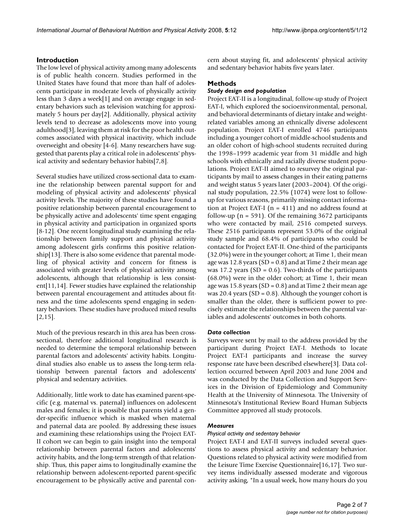## **Introduction**

The low level of physical activity among many adolescents is of public health concern. Studies performed in the United States have found that more than half of adolescents participate in moderate levels of physically activity less than 3 days a week[1] and on average engage in sedentary behaviors such as television watching for approximately 5 hours per day[2]. Additionally, physical activity levels tend to decrease as adolescents move into young adulthood[3], leaving them at risk for the poor health outcomes associated with physical inactivity, which include overweight and obesity [4-6]. Many researchers have suggested that parents play a critical role in adolescents' physical activity and sedentary behavior habits[7,8].

Several studies have utilized cross-sectional data to examine the relationship between parental support for and modeling of physical activity and adolescents' physical activity levels. The majority of these studies have found a positive relationship between parental encouragement to be physically active and adolescents' time spent engaging in physical activity and participation in organized sports [8-12]. One recent longitudinal study examining the relationship between family support and physical activity among adolescent girls confirms this positive relationship[13]. There is also some evidence that parental modeling of physical activity and concern for fitness is associated with greater levels of physical activity among adolescents, although that relationship is less consistent[11,14]. Fewer studies have explained the relationship between parental encouragement and attitudes about fitness and the time adolescents spend engaging in sedentary behaviors. These studies have produced mixed results [2,15].

Much of the previous research in this area has been crosssectional, therefore additional longitudinal research is needed to determine the temporal relationship between parental factors and adolescents' activity habits. Longitudinal studies also enable us to assess the long-term relationship between parental factors and adolescents' physical and sedentary activities.

Additionally, little work to date has examined parent-specific (e.g. maternal vs. paternal) influences on adolescent males and females; it is possible that parents yield a gender-specific influence which is masked when maternal and paternal data are pooled. By addressing these issues and examining these relationships using the Project EAT-II cohort we can begin to gain insight into the temporal relationship between parental factors and adolescents' activity habits, and the long-term strength of that relationship. Thus, this paper aims to longitudinally examine the relationship between adolescent-reported parent-specific encouragement to be physically active and parental concern about staying fit, and adolescents' physical activity and sedentary behavior habits five years later.

## **Methods**

## *Study design and population*

Project EAT-II is a longitudinal, follow-up study of Project EAT-I, which explored the socioenvironmental, personal, and behavioral determinants of dietary intake and weightrelated variables among an ethnically diverse adolescent population. Project EAT-I enrolled 4746 participants including a younger cohort of middle-school students and an older cohort of high-school students recruited during the 1998–1999 academic year from 31 middle and high schools with ethnically and racially diverse student populations. Project EAT-II aimed to resurvey the original participants by mail to assess changes in their eating patterns and weight status 5 years later (2003–2004). Of the original study population, 22.5% (1074) were lost to followup for various reasons, primarily missing contact information at Project EAT-I ( $n = 411$ ) and no address found at follow-up ( $n = 591$ ). Of the remaining 3672 participants who were contacted by mail, 2516 competed surveys. These 2516 participants represent 53.0% of the original study sample and 68.4% of participants who could be contacted for Project EAT-II. One-third of the participants (32.0%) were in the younger cohort; at Time 1, their mean age was 12.8 years ( $SD = 0.8$ ) and at Time 2 their mean age was 17.2 years (SD =  $0.6$ ). Two-thirds of the participants (68.0%) were in the older cohort; at Time 1, their mean age was 15.8 years ( $SD = 0.8$ ) and at Time 2 their mean age was 20.4 years ( $SD = 0.8$ ). Although the younger cohort is smaller than the older, there is sufficient power to precisely estimate the relationships between the parental variables and adolescents' outcomes in both cohorts.

## *Data collection*

Surveys were sent by mail to the address provided by the participant during Project EAT-I. Methods to locate Project EAT-I participants and increase the survey response rate have been described elsewhere[3]. Data collection occurred between April 2003 and June 2004 and was conducted by the Data Collection and Support Services in the Division of Epidemiology and Community Health at the University of Minnesota. The University of Minnesota's Institutional Review Board Human Subjects Committee approved all study protocols.

## *Measures*

## *Physical activity and sedentary behavior*

Project EAT-I and EAT-II surveys included several questions to assess physical activity and sedentary behavior. Questions related to physical activity were modified from the Leisure Time Exercise Questionnaire[16,17]. Two survey items individually assessed moderate and vigorous activity asking, "In a usual week, how many hours do you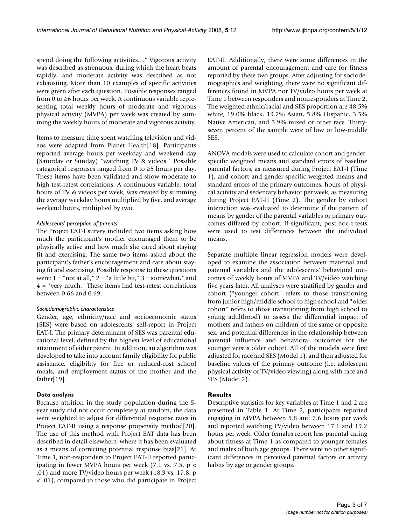spend doing the following activities...." Vigorous activity was described as strenuous, during which the heart beats rapidly, and moderate activity was described as not exhausting. More than 10 examples of specific activities were given after each question. Possible responses ranged from 0 to ≥6 hours per week. A continuous variable representing total weekly hours of moderate and vigorous physical activity (MVPA) per week was created by summing the weekly hours of moderate and vigorous activity.

Items to measure time spent watching television and videos were adapted from Planet Health[18]. Participants reported average hours per weekday and weekend day (Saturday or Sunday) "watching TV & videos." Possible categorical responses ranged from 0 to  $\geq$ 5 hours per day. These items have been validated and show moderate to high test-retest correlations. A continuous variable, total hours of TV & videos per week, was created by summing the average weekday hours multiplied by five, and average weekend hours, multiplied by two.

## *Adolescents' perception of parents*

The Project EAT-I survey included two items asking how much the participant's mother encouraged them to be physically active and how much she cared about staying fit and exercising. The same two items asked about the participant's father's encouragement and care about staying fit and exercising. Possible response to these questions were:  $1 = "not at all," 2 = "a little bit," 3 = somewhat," and$ 4 = "very much." These items had test-retest correlations between 0.66 and 0.69.

## *Sociodemographic characteristics*

Gender, age, ethnicity/race and socioeconomic status (SES) were based on adolescents' self-report in Project EAT-I. The primary determinant of SES was parental educational level, defined by the highest level of educational attainment of either parent. In addition, an algorithm was developed to take into account family eligibility for public assistance, eligibility for free or reduced-cost school meals, and employment status of the mother and the father[19].

## *Data analysis*

Because attrition in the study population during the 5 year study did not occur completely at random, the data were weighted to adjust for differential response rates in Project EAT-II using a response propensity method[20]. The use of this method with Project EAT data has been described in detail elsewhere, where it has been evaluated as a means of correcting potential response bias[21]. At Time 1, non-responders to Project EAT-II reported participating in fewer MVPA hours per week  $(7.1 \text{ vs. } 7.5, \text{ p}$ .01) and more TV/video hours per week (18.9 vs. 17.8, p < .01), compared to those who did participate in Project EAT-II. Additionally, there were some differences in the amount of parental encouragement and care for fitness reported by these two groups. After adjusting for sociodemographics and weighting, there were no significant differences found in MVPA nor TV/video hours per week at Time 1 between responders and nonresponders at Time 2. The weighted ethnic/racial and SES proportion are 48.5% white, 19.0% black, 19.2% Asian, 5.8% Hispanic, 3.5% Native American, and 3.9% mixed or other race. Thirtyseven percent of the sample were of low or low-middle SES.

ANOVA models were used to calculate cohort and genderspecific weighted means and standard errors of baseline parental factors, as measured during Project EAT-I (Time 1), and cohort and gender-specific weighted means and standard errors of the primary outcomes, hours of physical activity and sedentary behavior per week, as measuring during Project EAT-II (Time 2). The gender by cohort interaction was evaluated to determine if the pattern of means by gender of the parental variables or primary outcomes differed by cohort. If significant, post-hoc t-tests were used to test differences between the individual means.

Separate multiple linear regression models were developed to examine the association between maternal and paternal variables and the adolescents' behavioral outcomes of weekly hours of MVPA and TV/video watching five years later. All analyses were stratified by gender and cohort ("younger cohort" refers to those transitioning from junior high/middle school to high school and "older cohort" refers to those transitioning from high school to young adulthood) to assess the differential impact of mothers and fathers on children of the same or opposite sex, and potential differences in the relationship between parental influence and behavioral outcomes for the younger versus older cohort. All of the models were first adjusted for race and SES (Model 1), and then adjusted for baseline values of the primary outcome (i.e. adolescent physical activity or TV/video viewing) along with race and SES (Model 2).

## **Results**

Descriptive statistics for key variables at Time 1 and 2 are presented in Table 1. At Time 2, participants reported engaging in MVPA between 5.8 and 7.6 hours per week and reported watching TV/video between 17.1 and 19.2 hours per week. Older females report less parental caring about fitness at Time 1 as compared to younger females and males of both age groups. There were no other significant differences in perceived parental factors or activity habits by age or gender groups.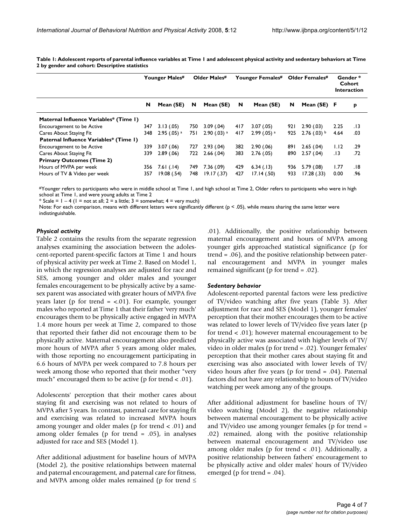|                                        | Younger Males# |                          | Older Males# |                           | Younger Females# |                           | Older Females# |             | Gender*<br>Cohort<br><b>Interaction</b> |      |
|----------------------------------------|----------------|--------------------------|--------------|---------------------------|------------------|---------------------------|----------------|-------------|-----------------------------------------|------|
|                                        | N              | Mean (SE)                | N            | Mean (SE)                 | N                | Mean (SE)                 | N              | Mean (SE) F |                                         | p    |
| Maternal Influence Variables* (Time I) |                |                          |              |                           |                  |                           |                |             |                                         |      |
| Encouragement to be Active             | 347            | 3.13(0.05)               | 750          | 3.09(0.04)                | 417              | 3.07(0.05)                | 92 I           | 2.90(0.03)  | 2.25                                    | . 13 |
| Cares About Staying Fit                | 348            | $2.95(.05)$ <sup>a</sup> | 75 I         | $2.90(0.03)$ <sup>a</sup> | 417              | $2.99(0.05)$ <sup>a</sup> | 925            | 2.76(0.03)  | 4.64                                    | .03  |
| Paternal Influence Variables* (Time I) |                |                          |              |                           |                  |                           |                |             |                                         |      |
| Encouragement to be Active             | 339            | 3.07(0.06)               | 727          | 2.93(0.04)                | 382              | 2.90(0.06)                | 891            | 2.65(.04)   | 1.12                                    | .29  |
| Cares About Staying Fit                | 339            | 2.89(0.06)               | 722.         | 2.66(.04)                 | 383              | 2.76(.05)                 | 890            | 2.57(.04)   | .13                                     | .72  |
| <b>Primary Outcomes (Time 2)</b>       |                |                          |              |                           |                  |                           |                |             |                                         |      |
| Hours of MVPA per week                 | 356            | 7.61(.14)                | 749.         | 7.36(.09)                 | 429              | 6.34(.13)                 | 936            | 5.79(0.08)  | 1.77                                    | 18.  |
| Hours of TV & Video per week           | 357            | 19.08(.54)               | 748          | 19.17(.37)                | 427              | 17.14(.50)                | 933            | 17.28(.33)  | 0.00                                    | .96  |

**Table 1: Adolescent reports of parental influence variables at Time 1 and adolescent physical activity and sedentary behaviors at Time 2 by gender and cohort: Descriptive statistics**

#Younger refers to participants who were in middle school at Time 1, and high school at Time 2, Older refers to participants who were in high school at Time 1, and were young adults at Time 2

 $*$  Scale =  $1 - 4$  ( $1 =$  not at all;  $2 =$  a little;  $3 =$  somewhat;  $4 =$  very much)

Note: For each comparison, means with different letters were significantly different ( $p < .05$ ), while means sharing the same letter were indistinguishable.

#### *Physical activity*

Table 2 contains the results from the separate regression analyses examining the association between the adolescent-reported parent-specific factors at Time 1 and hours of physical activity per week at Time 2. Based on Model 1, in which the regression analyses are adjusted for race and SES, among younger and older males and younger females encouragement to be physically active by a samesex parent was associated with greater hours of MVPA five years later (p for trend  $=$  <.01). For example, younger males who reported at Time 1 that their father 'very much' encourages them to be physically active engaged in MVPA 1.4 more hours per week at Time 2, compared to those that reported their father did not encourage them to be physically active. Maternal encouragement also predicted more hours of MVPA after 5 years among older males, with those reporting no encouragement participating in 6.6 hours of MVPA per week compared to 7.8 hours per week among those who reported that their mother "very much" encouraged them to be active (p for trend < .01).

Adolescents' perception that their mother cares about staying fit and exercising was not related to hours of MVPA after 5 years. In contrast, paternal care for staying fit and exercising was related to increased MVPA hours among younger and older males (p for trend < .01) and among older females ( $p$  for trend = .05), in analyses adjusted for race and SES (Model 1).

After additional adjustment for baseline hours of MVPA (Model 2), the positive relationships between maternal and paternal encouragement, and paternal care for fitness, and MVPA among older males remained (p for trend  $\leq$ 

.01). Additionally, the positive relationship between maternal encouragement and hours of MVPA among younger girls approached statistical significance (p for trend = .06), and the positive relationship between paternal encouragement and MVPA in younger males remained significant (p for trend = .02).

#### *Sedentary behavior*

Adolescent-reported parental factors were less predictive of TV/video watching after five years (Table 3). After adjustment for race and SES (Model 1), younger females' perception that their mother encourages them to be active was related to lower levels of TV/video five years later (p for trend < .01); however maternal encouragement to be physically active was associated with higher levels of TV/ video in older males (p for trend = .02). Younger females' perception that their mother cares about staying fit and exercising was also associated with lower levels of TV/ video hours after five years ( $p$  for trend = .04). Paternal factors did not have any relationship to hours of TV/video watching per week among any of the groups.

After additional adjustment for baseline hours of TV/ video watching (Model 2), the negative relationship between maternal encouragement to be physically active and TV/video use among younger females (p for trend = .02) remained, along with the positive relationship between maternal encouragement and TV/video use among older males (p for trend  $\lt$  .01). Additionally, a positive relationship between fathers' encouragement to be physically active and older males' hours of TV/video emerged (p for trend = .04).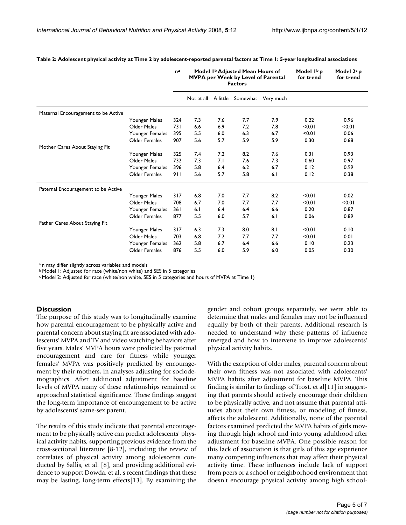|                                     |                 | n <sup>a</sup> |     |     | Model I <sup>b</sup> Adjusted Mean Hours of<br>MVPA per Week by Level of Parental<br><b>Factors</b> | Model $\mathsf{I}^{\mathsf{b}}$ p<br>for trend | Model $2c$ p<br>for trend |        |
|-------------------------------------|-----------------|----------------|-----|-----|-----------------------------------------------------------------------------------------------------|------------------------------------------------|---------------------------|--------|
|                                     |                 |                |     |     | Not at all A little Somewhat                                                                        | Very much                                      |                           |        |
| Maternal Encouragement to be Active |                 |                |     |     |                                                                                                     |                                                |                           |        |
|                                     | Younger Males   | 324            | 7.3 | 7.6 | 7.7                                                                                                 | 7.9                                            | 0.22                      | 0.96   |
|                                     | Older Males     | 731            | 6.6 | 6.9 | 7.2                                                                                                 | 7.8                                            | < 0.01                    | < 0.01 |
|                                     | Younger Females | 395            | 5.5 | 6.0 | 6.3                                                                                                 | 6.7                                            | < 0.01                    | 0.06   |
|                                     | Older Females   | 907            | 5.6 | 5.7 | 5.9                                                                                                 | 5.9                                            | 0.30                      | 0.68   |
| Mother Cares About Staying Fit      |                 |                |     |     |                                                                                                     |                                                |                           |        |
|                                     | Younger Males   | 325            | 7.4 | 7.2 | 8.2                                                                                                 | 7.6                                            | 0.31                      | 0.93   |
|                                     | Older Males     | 732            | 7.3 | 7.1 | 7.6                                                                                                 | 7.3                                            | 0.60                      | 0.97   |
|                                     | Younger Females | 396            | 5.8 | 6.4 | 6.2                                                                                                 | 6.7                                            | 0.12                      | 0.99   |
|                                     | Older Females   | 911            | 5.6 | 5.7 | 5.8                                                                                                 | 6.1                                            | 0.12                      | 0.38   |
| Paternal Encouragement to be Active |                 |                |     |     |                                                                                                     |                                                |                           |        |
|                                     | Younger Males   | 317            | 6.8 | 7.0 | 7.7                                                                                                 | 8.2                                            | < 0.01                    | 0.02   |
|                                     | Older Males     | 708            | 6.7 | 7.0 | 7.7                                                                                                 | 7.7                                            | < 0.01                    | < 0.01 |
|                                     | Younger Females | 361            | 6.1 | 6.4 | 6.4                                                                                                 | 6.6                                            | 0.20                      | 0.87   |
|                                     | Older Females   | 877            | 5.5 | 6.0 | 5.7                                                                                                 | 6.1                                            | 0.06                      | 0.89   |
| Father Cares About Staying Fit      |                 |                |     |     |                                                                                                     |                                                |                           |        |
|                                     | Younger Males   | 317            | 6.3 | 7.3 | 8.0                                                                                                 | 8.1                                            | < 0.01                    | 0.10   |
|                                     | Older Males     | 703            | 6.8 | 7.2 | 7.7                                                                                                 | 7.7                                            | < 0.01                    | 0.01   |
|                                     | Younger Females | 362            | 5.8 | 6.7 | 6.4                                                                                                 | 6.6                                            | 0.10                      | 0.23   |
|                                     | Older Females   | 876            | 5.5 | 6.0 | 5.9                                                                                                 | 6.0                                            | 0.05                      | 0.30   |

**Table 2: Adolescent physical activity at Time 2 by adolescent-reported parental factors at Time 1: 5-year longitudinal associations**

a n may differ slightly across variables and models

b Model 1: Adjusted for race (white/non white) and SES in 5 categories

c Model 2: Adjusted for race (white/non white, SES in 5 categories and hours of MVPA at Time 1)

## **Discussion**

The purpose of this study was to longitudinally examine how parental encouragement to be physically active and parental concern about staying fit are associated with adolescents' MVPA and TV and video watching behaviors after five years. Males' MVPA hours were predicted by paternal encouragement and care for fitness while younger females' MVPA was positively predicted by encouragement by their mothers, in analyses adjusting for sociodemographics. After additional adjustment for baseline levels of MVPA many of these relationships remained or approached statistical significance. These findings suggest the long-term importance of encouragement to be active by adolescents' same-sex parent.

The results of this study indicate that parental encouragement to be physically active can predict adolescents' physical activity habits, supporting previous evidence from the cross-sectional literature [8-12], including the review of correlates of physical activity among adolescents conducted by Sallis, et al. [8], and providing additional evidence to support Dowda, et al.'s recent findings that these may be lasting, long-term effects[13]. By examining the gender and cohort groups separately, we were able to determine that males and females may not be influenced equally by both of their parents. Additional research is needed to understand why these patterns of influence emerged and how to intervene to improve adolescents' physical activity habits.

With the exception of older males, parental concern about their own fitness was not associated with adolescents' MVPA habits after adjustment for baseline MVPA. This finding is similar to findings of Trost, et al[11] in suggesting that parents should actively encourage their children to be physically active, and not assume that parental attitudes about their own fitness, or modeling of fitness, affects the adolescent. Additionally, none of the parental factors examined predicted the MVPA habits of girls moving through high school and into young adulthood after adjustment for baseline MVPA. One possible reason for this lack of association is that girls of this age experience many competing influences that may affect their physical activity time. These influences include lack of support from peers or a school or neighborhood environment that doesn't encourage physical activity among high school-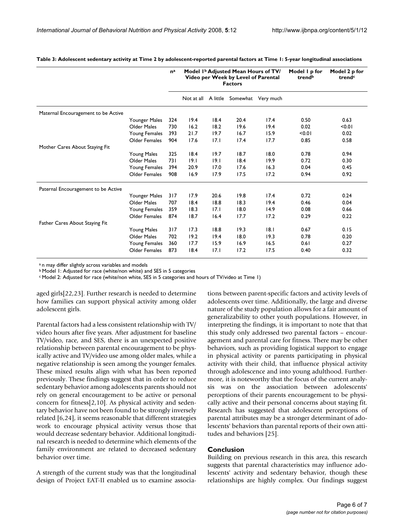|                                     |                    | n <sup>a</sup> |                     |      | Model I <sup>b</sup> Adjusted Mean Hours of TV/<br>Video per Week by Level of Parental<br><b>Factors</b> | Model I p for<br>trendb | Model 2 p for<br>trend <sup>c</sup> |        |
|-------------------------------------|--------------------|----------------|---------------------|------|----------------------------------------------------------------------------------------------------------|-------------------------|-------------------------------------|--------|
|                                     |                    |                | Not at all A little |      | Somewhat Very much                                                                                       |                         |                                     |        |
| Maternal Encouragement to be Active |                    |                |                     |      |                                                                                                          |                         |                                     |        |
|                                     | Younger Males      | 324            | 19.4                | 18.4 | 20.4                                                                                                     | 17.4                    | 0.50                                | 0.63   |
|                                     | Older Males        | 730            | 16.2                | 18.2 | 19.6                                                                                                     | 19.4                    | 0.02                                | < 0.01 |
|                                     | Young Females      | 393            | 21.7                | 19.7 | 16.7                                                                                                     | 15.9                    | < 0.01                              | 0.02   |
|                                     | Older Females      | 904            | 17.6                | 17.1 | 17.4                                                                                                     | 17.7                    | 0.85                                | 0.58   |
| Mother Cares About Staying Fit      |                    |                |                     |      |                                                                                                          |                         |                                     |        |
|                                     | <b>Young Males</b> | 325            | 18.4                | 19.7 | 18.7                                                                                                     | 18.0                    | 0.78                                | 0.94   |
|                                     | Older Males        | 731            | 9.1                 | 9.1  | 18.4                                                                                                     | 19.9                    | 0.72                                | 0.30   |
|                                     | Young Females      | 394            | 20.9                | 17.0 | 17.6                                                                                                     | 16.3                    | 0.04                                | 0.45   |
|                                     | Older Females      | 908            | 16.9                | 17.9 | 17.5                                                                                                     | 17.2                    | 0.94                                | 0.92   |
| Paternal Encouragement to be Active |                    |                |                     |      |                                                                                                          |                         |                                     |        |
|                                     | Younger Males      | 317            | 17.9                | 20.6 | 19.8                                                                                                     | 17.4                    | 0.72                                | 0.24   |
|                                     | Older Males        | 707            | 18.4                | 18.8 | 18.3                                                                                                     | 19.4                    | 0.46                                | 0.04   |
|                                     | Young Females      | 359            | 18.3                | 17.1 | 18.0                                                                                                     | 14.9                    | 0.08                                | 0.66   |
|                                     | Older Females      | 874            | 18.7                | 16.4 | 17.7                                                                                                     | 17.2                    | 0.29                                | 0.22   |
| Father Cares About Staying Fit      |                    |                |                     |      |                                                                                                          |                         |                                     |        |
|                                     | <b>Young Males</b> | 317            | 17.3                | 18.8 | 19.3                                                                                                     | 8.1                     | 0.67                                | 0.15   |
|                                     | Older Males        | 702            | 19.2                | 19.4 | 18.0                                                                                                     | 19.3                    | 0.78                                | 0.20   |
|                                     | Young Females      | 360            | 17.7                | 15.9 | 16.9                                                                                                     | 16.5                    | 0.61                                | 0.27   |
|                                     | Older Females      | 873            | 18.4                | 17.1 | 17.2                                                                                                     | 17.5                    | 0.40                                | 0.32   |

**Table 3: Adolescent sedentary activity at Time 2 by adolescent-reported parental factors at Time 1: 5-year longitudinal associations**

a n may differ slightly across variables and models

b Model 1: Adjusted for race (white/non white) and SES in 5 categories

c Model 2: Adjusted for race (white/non white, SES in 5 categories and hours of TV/video at Time 1)

aged girls[22,23]. Further research is needed to determine how families can support physical activity among older adolescent girls.

Parental factors had a less consistent relationship with TV/ video hours after five years. After adjustment for baseline TV/video, race, and SES, there is an unexpected positive relationship between parental encouragement to be physically active and TV/video use among older males, while a negative relationship is seen among the younger females. These mixed results align with what has been reported previously. These findings suggest that in order to reduce sedentary behavior among adolescents parents should not rely on general encouragement to be active or personal concern for fitness[2,10]. As physical activity and sedentary behavior have not been found to be strongly inversely related [6,24], it seems reasonable that different strategies work to encourage physical activity versus those that would decrease sedentary behavior. Additional longitudinal research is needed to determine which elements of the family environment are related to decreased sedentary behavior over time.

A strength of the current study was that the longitudinal design of Project EAT-II enabled us to examine associations between parent-specific factors and activity levels of adolescents over time. Additionally, the large and diverse nature of the study population allows for a fair amount of generalizability to other youth populations. However, in interpreting the findings, it is important to note that that this study only addressed two parental factors – encouragement and parental care for fitness. There may be other behaviors, such as providing logistical support to engage in physical activity or parents participating in physical activity with their child, that influence physical activity through adolescence and into young adulthood. Furthermore, it is noteworthy that the focus of the current analysis was on the association between adolescents' perceptions of their parents encouragement to be physically active and their personal concerns about staying fit. Research has suggested that adolescent perceptions of parental attributes may be a stronger determinant of adolescents' behaviors than parental reports of their own attitudes and behaviors [25].

## **Conclusion**

Building on previous research in this area, this research suggests that parental characteristics may influence adolescents' activity and sedentary behavior, though these relationships are highly complex. Our findings suggest